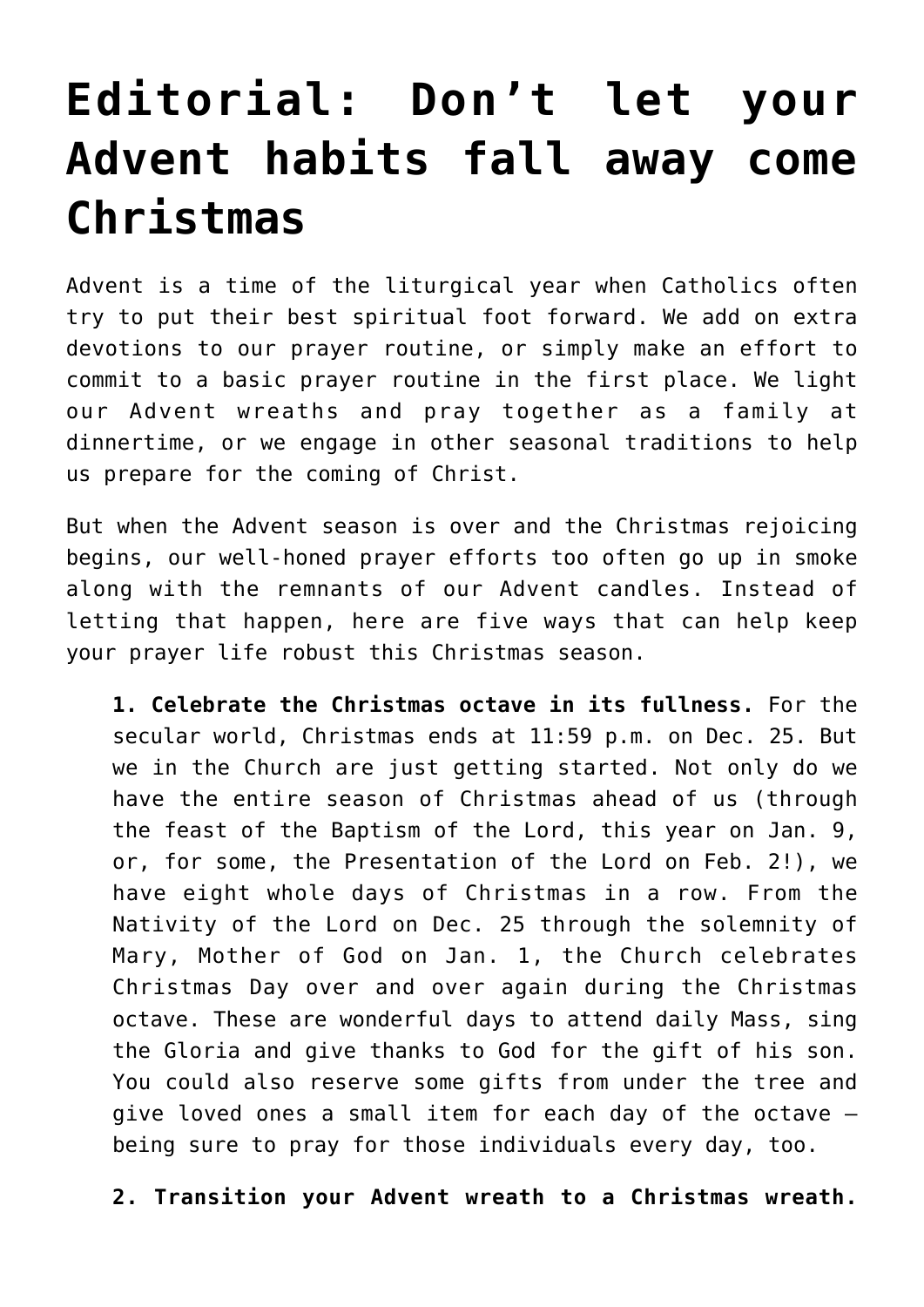## **[Editorial: Don't let your](https://www.osvnewsweekly.net/2021/12/13/editorial-dont-let-your-advent-habits-fall-away-come-christmas/) [Advent habits fall away come](https://www.osvnewsweekly.net/2021/12/13/editorial-dont-let-your-advent-habits-fall-away-come-christmas/) [Christmas](https://www.osvnewsweekly.net/2021/12/13/editorial-dont-let-your-advent-habits-fall-away-come-christmas/)**

Advent is a time of the liturgical year when Catholics often try to put their best spiritual foot forward. We add on extra devotions to our prayer routine, or simply make an effort to commit to a basic prayer routine in the first place. We light our Advent wreaths and pray together as a family at dinnertime, or we engage in other seasonal traditions to help us prepare for the coming of Christ.

But when the Advent season is over and the Christmas rejoicing begins, our well-honed prayer efforts too often go up in smoke along with the remnants of our Advent candles. Instead of letting that happen, here are five ways that can help keep your prayer life robust this Christmas season.

**1. Celebrate the Christmas octave in its fullness.** For the secular world, Christmas ends at 11:59 p.m. on Dec. 25. But we in the Church are just getting started. Not only do we have the entire season of Christmas ahead of us (through the feast of the Baptism of the Lord, this year on Jan. 9, or, for some, the Presentation of the Lord on Feb. 2!), we have eight whole days of Christmas in a row. From the Nativity of the Lord on Dec. 25 through the solemnity of Mary, Mother of God on Jan. 1, the Church celebrates Christmas Day over and over again during the Christmas octave. These are wonderful days to attend daily Mass, sing the Gloria and give thanks to God for the gift of his son. You could also reserve some gifts from under the tree and give loved ones a small item for each day of the octave being sure to pray for those individuals every day, too.

**2. Transition your Advent wreath to a Christmas wreath.**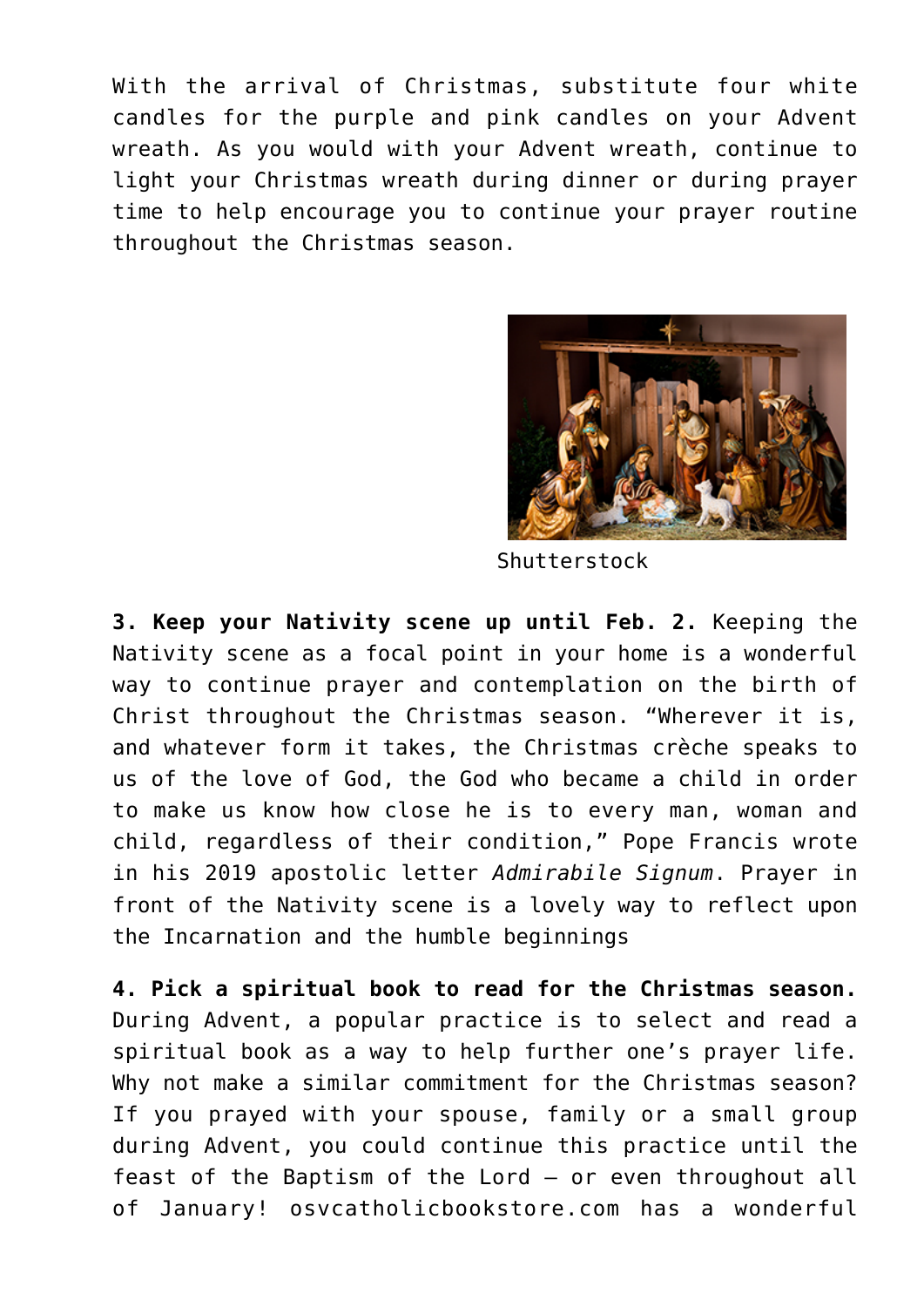With the arrival of Christmas, substitute four white candles for the purple and pink candles on your Advent wreath. As you would with your Advent wreath, continue to light your Christmas wreath during dinner or during prayer time to help encourage you to continue your prayer routine throughout the Christmas season.



Shutterstock

**3. Keep your Nativity scene up until Feb. 2.** Keeping the Nativity scene as a focal point in your home is a wonderful way to continue prayer and contemplation on the birth of Christ throughout the Christmas season. "Wherever it is, and whatever form it takes, the Christmas crèche speaks to us of the love of God, the God who became a child in order to make us know how close he is to every man, woman and child, regardless of their condition," Pope Francis wrote in his 2019 apostolic letter *Admirabile Signum*. Prayer in front of the Nativity scene is a lovely way to reflect upon the Incarnation and the humble beginnings

**4. Pick a spiritual book to read for the Christmas season.** During Advent, a popular practice is to select and read a spiritual book as a way to help further one's prayer life. Why not make a similar commitment for the Christmas season? If you prayed with your spouse, family or a small group during Advent, you could continue this practice until the feast of the Baptism of the Lord — or even throughout all of January! osvcatholicbookstore.com has a wonderful